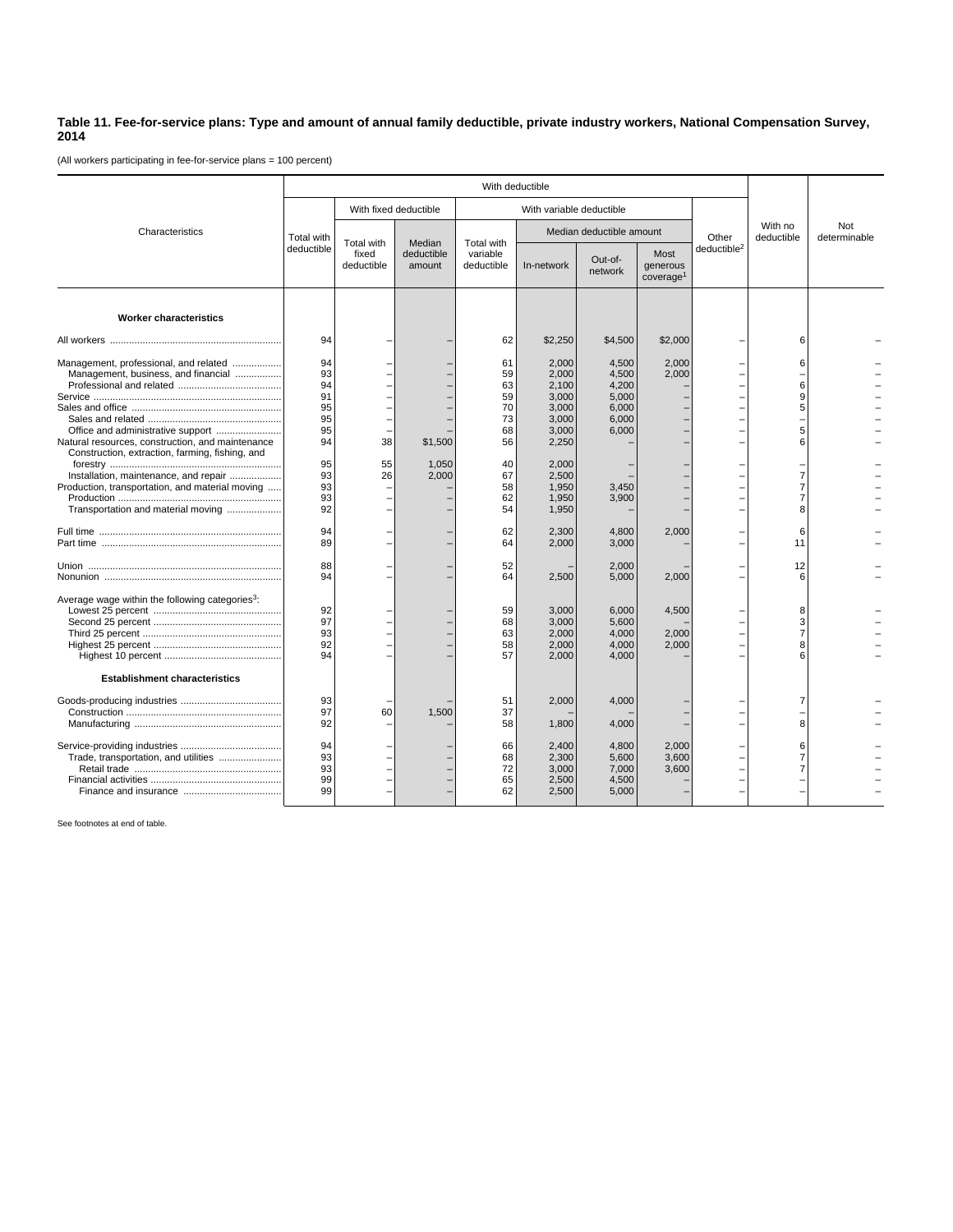## **Table 11. Fee-for-service plans: Type and amount of annual family deductible, private industry workers, National Compensation Survey, 2014**

(All workers participating in fee-for-service plans = 100 percent)

|                                                                                                                                | With deductible                 |                                   |                                |                                      |                                           |                                           |                                                  |                         |                                    |                     |
|--------------------------------------------------------------------------------------------------------------------------------|---------------------------------|-----------------------------------|--------------------------------|--------------------------------------|-------------------------------------------|-------------------------------------------|--------------------------------------------------|-------------------------|------------------------------------|---------------------|
| Characteristics                                                                                                                |                                 | With fixed deductible             |                                | With variable deductible             |                                           |                                           |                                                  |                         |                                    |                     |
|                                                                                                                                | <b>Total with</b><br>deductible | Total with<br>fixed<br>deductible | Median<br>deductible<br>amount | Total with<br>variable<br>deductible | Median deductible amount                  |                                           |                                                  | Other                   | With no<br>deductible              | Not<br>determinable |
|                                                                                                                                |                                 |                                   |                                |                                      | In-network                                | Out-of-<br>network                        | <b>Most</b><br>generous<br>coverage <sup>1</sup> | deductible <sup>2</sup> |                                    |                     |
| <b>Worker characteristics</b>                                                                                                  |                                 |                                   |                                |                                      |                                           |                                           |                                                  |                         |                                    |                     |
|                                                                                                                                | 94                              |                                   |                                | 62                                   | \$2,250                                   | \$4,500                                   | \$2,000                                          |                         | 6                                  |                     |
| Management, professional, and related<br>Management, business, and financial                                                   | 94<br>93<br>94                  |                                   |                                | 61<br>59<br>63                       | 2,000<br>2.000<br>2,100                   | 4,500<br>4,500<br>4,200                   | 2,000<br>2,000                                   |                         | 6<br>6                             |                     |
| Office and administrative support                                                                                              | 91<br>95<br>95<br>95            |                                   |                                | 59<br>70<br>73<br>68                 | 3,000<br>3,000<br>3,000<br>3,000          | 5,000<br>6,000<br>6,000<br>6,000          |                                                  |                         | 9<br>5<br>5                        |                     |
| Natural resources, construction, and maintenance<br>Construction, extraction, farming, fishing, and                            | 94<br>95                        | 38<br>55                          | \$1,500<br>1,050               | 56<br>40                             | 2,250<br>2.000                            |                                           |                                                  |                         | 6                                  |                     |
| Installation, maintenance, and repair<br>Production, transportation, and material moving<br>Transportation and material moving | 93<br>93<br>93<br>92            | 26                                | 2,000                          | 67<br>58<br>62<br>54                 | 2.500<br>1.950<br>1,950<br>1,950          | 3.450<br>3,900                            |                                                  |                         | 7<br>$\overline{7}$<br>7<br>8      |                     |
|                                                                                                                                | 94<br>89                        |                                   |                                | 62<br>64                             | 2,300<br>2,000                            | 4,800<br>3,000                            | 2,000                                            |                         | 6<br>11                            |                     |
|                                                                                                                                | 88<br>94                        |                                   |                                | 52<br>64                             | 2,500                                     | 2,000<br>5,000                            | 2,000                                            |                         | 12<br>6                            |                     |
| Average wage within the following categories <sup>3</sup> :                                                                    | 92<br>97<br>93<br>92<br>94      |                                   |                                | 59<br>68<br>63<br>58<br>57           | 3,000<br>3,000<br>2.000<br>2,000<br>2,000 | 6,000<br>5,600<br>4,000<br>4,000<br>4.000 | 4,500<br>2,000<br>2,000                          |                         | 8<br>3<br>$\overline{7}$<br>8<br>6 |                     |
| <b>Establishment characteristics</b>                                                                                           |                                 |                                   |                                |                                      |                                           |                                           |                                                  |                         |                                    |                     |
|                                                                                                                                | 93<br>97<br>92                  | 60                                | 1,500                          | 51<br>37<br>58                       | 2,000<br>1,800                            | 4,000<br>4,000                            |                                                  |                         | 7<br>8                             |                     |
| Trade, transportation, and utilities                                                                                           | 94<br>93<br>93<br>99<br>99      |                                   |                                | 66<br>68<br>72<br>65<br>62           | 2,400<br>2,300<br>3,000<br>2,500<br>2,500 | 4,800<br>5,600<br>7,000<br>4,500<br>5,000 | 2,000<br>3,600<br>3,600                          |                         | 6<br>7                             |                     |

See footnotes at end of table.